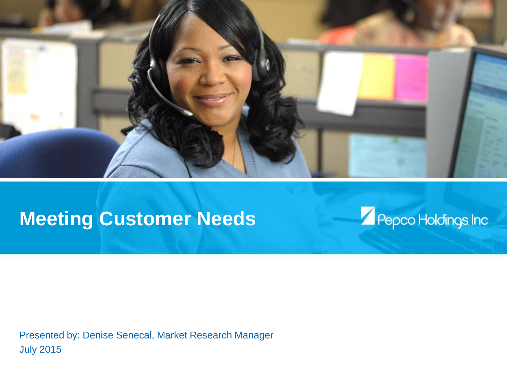

# **Meeting Customer Needs**



Presented by: Denise Senecal, Market Research Manager July 2015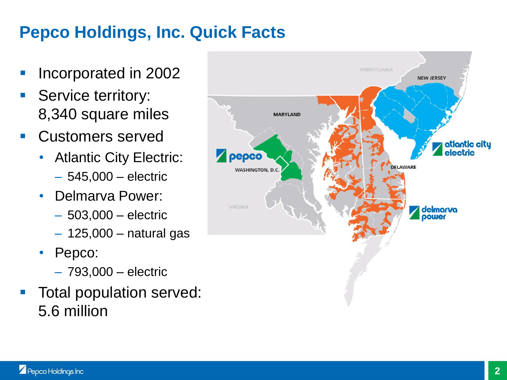## **Pepco Holdings, Inc. Quick Facts**

- Incorporated in 2002
- Service territory: 8,340 square miles
- Customers served
	- Atlantic City Electric:
		- 545,000 electric
	- Delmarva Power:
		- 503,000 electric
		- 125,000 natural gas
	- Pepco:
		- 793,000 electric
- Total population served: 5.6 million

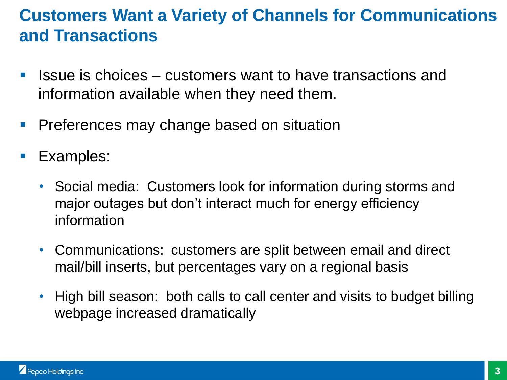### **Customers Want a Variety of Channels for Communications and Transactions**

- Issue is choices customers want to have transactions and information available when they need them.
- **Preferences may change based on situation**
- Examples:
	- Social media: Customers look for information during storms and major outages but don't interact much for energy efficiency information
	- Communications: customers are split between email and direct mail/bill inserts, but percentages vary on a regional basis
	- High bill season: both calls to call center and visits to budget billing webpage increased dramatically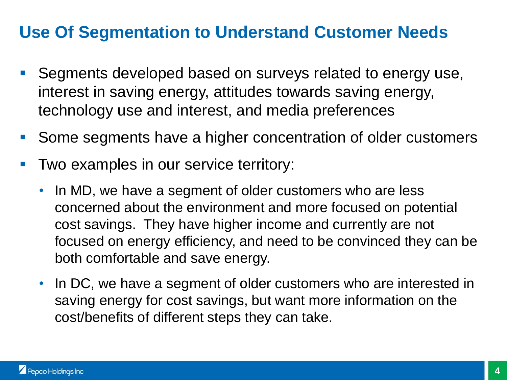### **Use Of Segmentation to Understand Customer Needs**

- Segments developed based on surveys related to energy use, interest in saving energy, attitudes towards saving energy, technology use and interest, and media preferences
- Some segments have a higher concentration of older customers
- Two examples in our service territory:
	- In MD, we have a segment of older customers who are less concerned about the environment and more focused on potential cost savings. They have higher income and currently are not focused on energy efficiency, and need to be convinced they can be both comfortable and save energy.
	- In DC, we have a segment of older customers who are interested in saving energy for cost savings, but want more information on the cost/benefits of different steps they can take.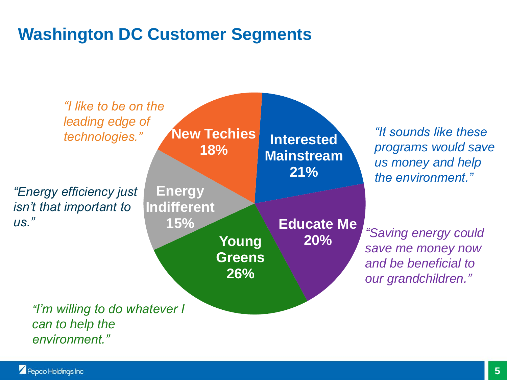### **Washington DC Customer Segments**

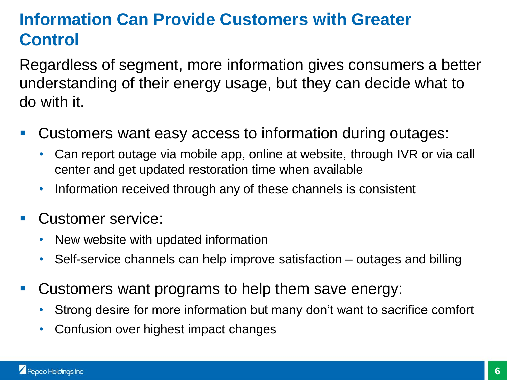## **Information Can Provide Customers with Greater Control**

Regardless of segment, more information gives consumers a better understanding of their energy usage, but they can decide what to do with it.

- Customers want easy access to information during outages:
	- Can report outage via mobile app, online at website, through IVR or via call center and get updated restoration time when available
	- Information received through any of these channels is consistent
- Customer service:
	- New website with updated information
	- Self-service channels can help improve satisfaction outages and billing
- **Customers want programs to help them save energy:** 
	- Strong desire for more information but many don't want to sacrifice comfort
	- Confusion over highest impact changes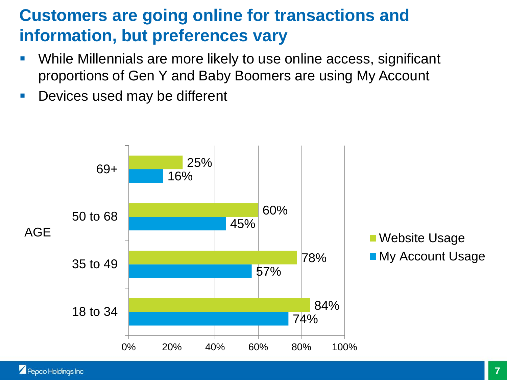### **Customers are going online for transactions and information, but preferences vary**

- While Millennials are more likely to use online access, significant proportions of Gen Y and Baby Boomers are using My Account
- **Devices used may be different**

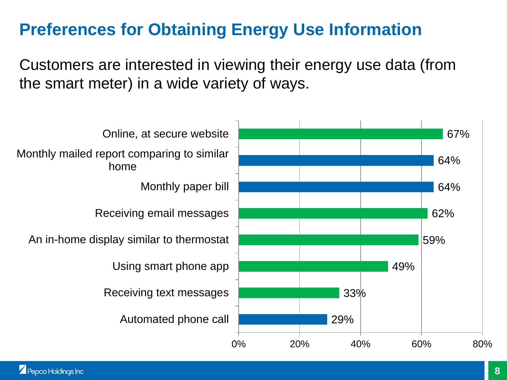### **Preferences for Obtaining Energy Use Information**

Customers are interested in viewing their energy use data (from the smart meter) in a wide variety of ways.

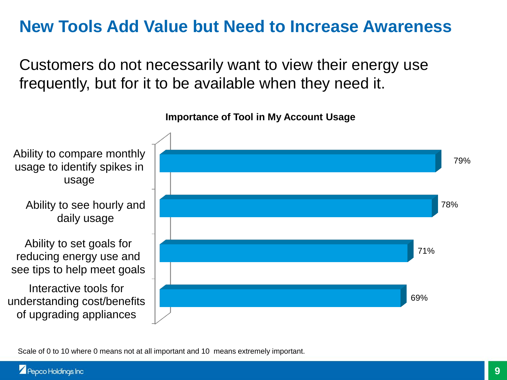### **New Tools Add Value but Need to Increase Awareness**

Customers do not necessarily want to view their energy use frequently, but for it to be available when they need it.



**Importance of Tool in My Account Usage**

Scale of 0 to 10 where 0 means not at all important and 10 means extremely important.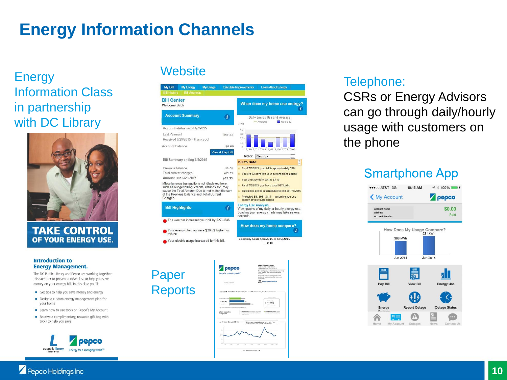## **Energy Information Channels**

Energy Website Information Class in partnership with DC Library



**TAKE CONTROL** OF YOUR ENERGY USE.

### **Introduction to Energy Management.**

The DC Public Library and Pepco are working together this summer to present a new class to help you save money on your energy bill. In this class you'll:

- Get tips to help you save money and energy
- Design a custom energy management plan for your home
- Learn how to use tools on Pepco's My Account
- Receive a complimentary, reusable gift bag with tools to help you save



| <b>Welcome Back</b>                                      |                 | When does my home use energy?                                                                                                         |
|----------------------------------------------------------|-----------------|---------------------------------------------------------------------------------------------------------------------------------------|
| <b>Account Summary</b>                                   | $\mathbf{i}$    | Daily Energy Use and Average<br>- Average<br><b>Weekday</b><br>kWh                                                                    |
| Account status as of 7/7/2015                            |                 | 40                                                                                                                                    |
| Last Payment                                             | \$65.53         | 30                                                                                                                                    |
| Received 6/29/2015 - Thank you!                          |                 | 20                                                                                                                                    |
|                                                          |                 | 10                                                                                                                                    |
| Account balance                                          | \$0.00          | $\alpha$<br>6/30 7/01 7/02 7/03 7/04 7/05 7/06                                                                                        |
|                                                          | View & Pay Bill | Meter: Electric -                                                                                                                     |
| Bill Summary ending 6/8/2015                             |                 | $+$<br><b>Bill to Date</b>                                                                                                            |
| Previous balance                                         | \$0.00          | As of 7/6/2015, your bill is approximately \$99                                                                                       |
| Total current charges                                    | \$65.53         | You are 32 days into your current billing period                                                                                      |
| Amount Due 6/29/2015                                     | \$65.53         | Your average daily cost is \$3.10                                                                                                     |
| of the Previous Balance and Total Current<br>Charges.    |                 | Projected Bill: \$95 - \$117 -- assuming you use<br>energy at your current pace                                                       |
| <b>Bill Highlights</b>                                   | ī.              | <b>Energy Use Analysis</b><br>View graphs of my daily or hourly energy use.<br>Loading your energy charts may take several<br>seconds |
| The weather increased your bill by \$27 - \$46.          |                 | How does my home compare?                                                                                                             |
| Your energy charges were \$28.59 higher for<br>this bill |                 | i.                                                                                                                                    |
| Your electric usage increased for this bill.             |                 | Electricity Costs 5/8/2015 to 6/5/2015                                                                                                |
|                                                          |                 | \$140                                                                                                                                 |

What i

### Telephone:

CSRs or Energy Advisors can go through daily/hourly usage with customers on the phone

### **Smartphone App**

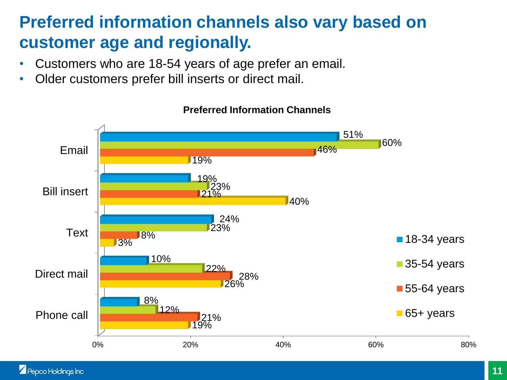### **Preferred information channels also vary based on customer age and regionally.**

- Customers who are 18-54 years of age prefer an email.
- Older customers prefer bill inserts or direct mail.



### **Preferred Information Channels**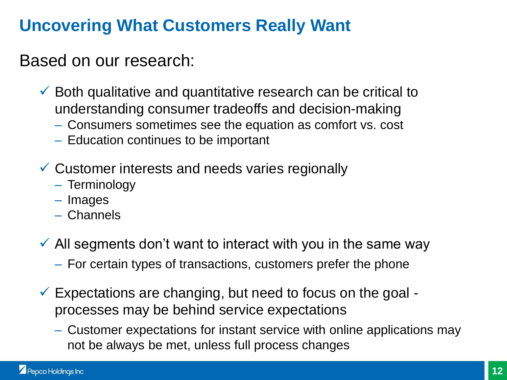## **Uncovering What Customers Really Want**

### Based on our research:

- $\checkmark$  Both qualitative and quantitative research can be critical to understanding consumer tradeoffs and decision-making
	- Consumers sometimes see the equation as comfort vs. cost
	- Education continues to be important
- $\checkmark$  Customer interests and needs varies regionally
	- Terminology
	- Images
	- Channels
- $\checkmark$  All segments don't want to interact with you in the same way
	- For certain types of transactions, customers prefer the phone
- $\checkmark$  Expectations are changing, but need to focus on the goal processes may be behind service expectations
	- Customer expectations for instant service with online applications may not be always be met, unless full process changes